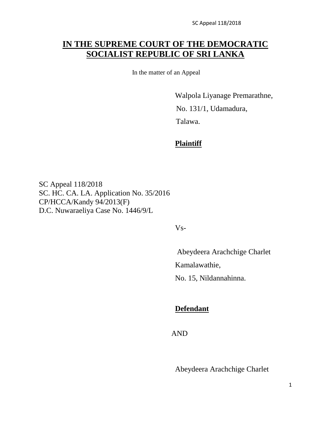SC Appeal 118/2018

# **IN THE SUPREME COURT OF THE DEMOCRATIC SOCIALIST REPUBLIC OF SRI LANKA**

In the matter of an Appeal

 Walpola Liyanage Premarathne, No. 131/1, Udamadura, Talawa.

## **Plaintiff**

SC Appeal 118/2018 SC. HC. CA. LA. Application No. 35/2016 CP/HCCA/Kandy 94/2013(F) D.C. Nuwaraeliya Case No. 1446/9/L

Vs-

 Abeydeera Arachchige Charlet Kamalawathie, No. 15, Nildannahinna.

## **Defendant**

AND

Abeydeera Arachchige Charlet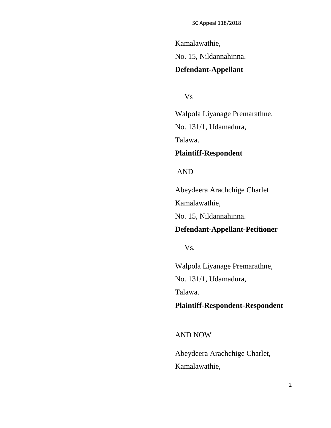Kamalawathie,

No. 15, Nildannahinna.

# **Defendant-Appellant**

Vs

Walpola Liyanage Premarathne, No. 131/1, Udamadura, Talawa. **Plaintiff-Respondent**

#### AND

Abeydeera Arachchige Charlet

Kamalawathie,

No. 15, Nildannahinna.

#### **Defendant-Appellant-Petitioner**

Vs.

Walpola Liyanage Premarathne,

No. 131/1, Udamadura,

Talawa.

# **Plaintiff-Respondent-Respondent**

AND NOW

Abeydeera Arachchige Charlet, Kamalawathie,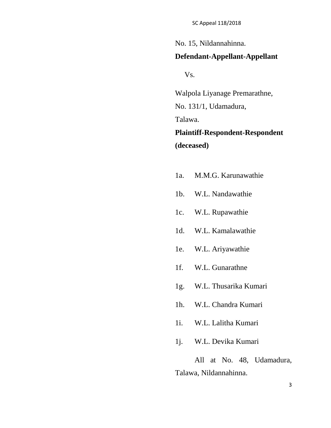No. 15, Nildannahinna.

### **Defendant-Appellant-Appellant**

Vs.

Walpola Liyanage Premarathne, No. 131/1, Udamadura, Talawa. **Plaintiff-Respondent-Respondent (deceased)**

- 1a. M.M.G. Karunawathie
- 1b. W.L. Nandawathie
- 1c. W.L. Rupawathie
- 1d. W.L. Kamalawathie
- 1e. W.L. Ariyawathie
- 1f. W.L. Gunarathne
- 1g. W.L. Thusarika Kumari
- 1h. W.L. Chandra Kumari
- 1i. W.L. Lalitha Kumari
- 1j. W.L. Devika Kumari

All at No. 48, Udamadura, Talawa, Nildannahinna.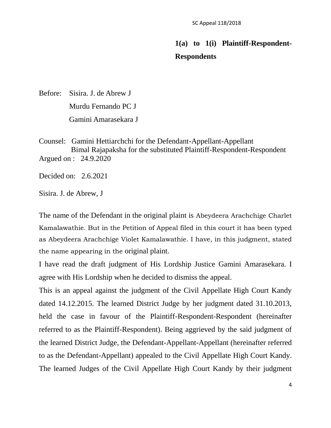# **1(a) to 1(i) Plaintiff-Respondent-**

#### **Respondents**

Before: Sisira. J. de Abrew J Murdu Fernando PC J Gamini Amarasekara J

Counsel: Gamini Hettiarchchi for the Defendant-Appellant-Appellant Bimal Rajapaksha for the substituted Plaintiff-Respondent-Respondent Argued on : 24.9.2020

Decided on: 2.6.2021

Sisira. J. de Abrew, J

The name of the Defendant in the original plaint is Abeydeera Arachchige Charlet Kamalawathie. But in the Petition of Appeal filed in this court it has been typed as Abeydeera Arachchige Violet Kamalawathie. I have, in this judgment, stated the name appearing in the original plaint.

I have read the draft judgment of His Lordship Justice Gamini Amarasekara. I agree with His Lordship when he decided to dismiss the appeal.

This is an appeal against the judgment of the Civil Appellate High Court Kandy dated 14.12.2015. The learned District Judge by her judgment dated 31.10.2013, held the case in favour of the Plaintiff-Respondent-Respondent (hereinafter referred to as the Plaintiff-Respondent). Being aggrieved by the said judgment of the learned District Judge, the Defendant-Appellant-Appellant (hereinafter referred to as the Defendant-Appellant) appealed to the Civil Appellate High Court Kandy. The learned Judges of the Civil Appellate High Court Kandy by their judgment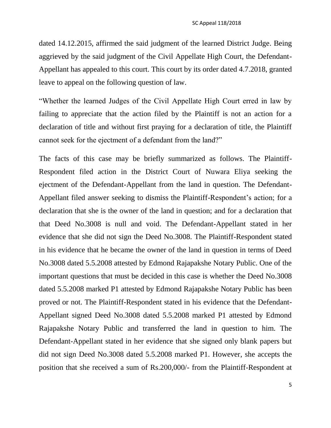dated 14.12.2015, affirmed the said judgment of the learned District Judge. Being aggrieved by the said judgment of the Civil Appellate High Court, the Defendant-Appellant has appealed to this court. This court by its order dated 4.7.2018, granted leave to appeal on the following question of law.

"Whether the learned Judges of the Civil Appellate High Court erred in law by failing to appreciate that the action filed by the Plaintiff is not an action for a declaration of title and without first praying for a declaration of title, the Plaintiff cannot seek for the ejectment of a defendant from the land?"

The facts of this case may be briefly summarized as follows. The Plaintiff-Respondent filed action in the District Court of Nuwara Eliya seeking the ejectment of the Defendant-Appellant from the land in question. The Defendant-Appellant filed answer seeking to dismiss the Plaintiff-Respondent's action; for a declaration that she is the owner of the land in question; and for a declaration that that Deed No.3008 is null and void. The Defendant-Appellant stated in her evidence that she did not sign the Deed No.3008. The Plaintiff-Respondent stated in his evidence that he became the owner of the land in question in terms of Deed No.3008 dated 5.5.2008 attested by Edmond Rajapakshe Notary Public. One of the important questions that must be decided in this case is whether the Deed No.3008 dated 5.5.2008 marked P1 attested by Edmond Rajapakshe Notary Public has been proved or not. The Plaintiff-Respondent stated in his evidence that the Defendant-Appellant signed Deed No.3008 dated 5.5.2008 marked P1 attested by Edmond Rajapakshe Notary Public and transferred the land in question to him. The Defendant-Appellant stated in her evidence that she signed only blank papers but did not sign Deed No.3008 dated 5.5.2008 marked P1. However, she accepts the position that she received a sum of Rs.200,000/- from the Plaintiff-Respondent at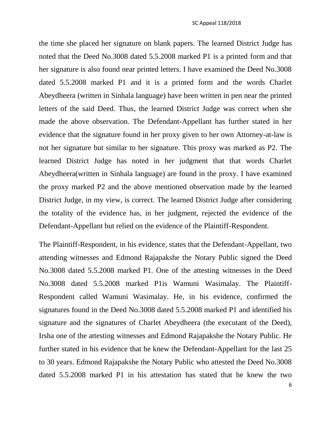the time she placed her signature on blank papers. The learned District Judge has noted that the Deed No.3008 dated 5.5.2008 marked P1 is a printed form and that her signature is also found near printed letters. I have examined the Deed No.3008 dated 5.5.2008 marked P1 and it is a printed form and the words Charlet Abeydheera (written in Sinhala language) have been written in pen near the printed letters of the said Deed. Thus, the learned District Judge was correct when she made the above observation. The Defendant-Appellant has further stated in her evidence that the signature found in her proxy given to her own Attorney-at-law is not her signature but similar to her signature. This proxy was marked as P2. The learned District Judge has noted in her judgment that that words Charlet Abeydheera(written in Sinhala language) are found in the proxy. I have examined the proxy marked P2 and the above mentioned observation made by the learned District Judge, in my view, is correct. The learned District Judge after considering the totality of the evidence has, in her judgment, rejected the evidence of the Defendant-Appellant but relied on the evidence of the Plaintiff-Respondent.

The Plaintiff-Respondent, in his evidence, states that the Defendant-Appellant, two attending witnesses and Edmond Rajapakshe the Notary Public signed the Deed No.3008 dated 5.5.2008 marked P1. One of the attesting witnesses in the Deed No.3008 dated 5.5.2008 marked P1is Wamuni Wasimalay. The Plaintiff-Respondent called Wamuni Wasimalay. He, in his evidence, confirmed the signatures found in the Deed No.3008 dated 5.5.2008 marked P1 and identified his signature and the signatures of Charlet Abeydheera (the executant of the Deed), Irsha one of the attesting witnesses and Edmond Rajapakshe the Notary Public. He further stated in his evidence that he knew the Defendant-Appellant for the last 25 to 30 years. Edmond Rajapakshe the Notary Public who attested the Deed No.3008 dated 5.5.2008 marked P1 in his attestation has stated that he knew the two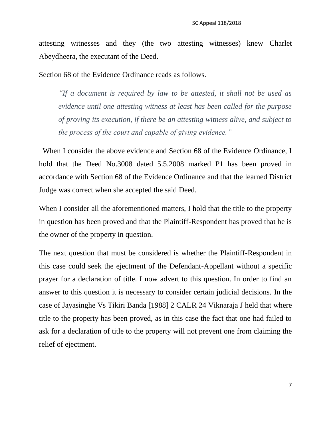attesting witnesses and they (the two attesting witnesses) knew Charlet Abeydheera, the executant of the Deed.

Section 68 of the Evidence Ordinance reads as follows.

*"If a document is required by law to be attested, it shall not be used as evidence until one attesting witness at least has been called for the purpose of proving its execution, if there be an attesting witness alive, and subject to the process of the court and capable of giving evidence."*

When I consider the above evidence and Section 68 of the Evidence Ordinance, I hold that the Deed No.3008 dated 5.5.2008 marked P1 has been proved in accordance with Section 68 of the Evidence Ordinance and that the learned District Judge was correct when she accepted the said Deed.

When I consider all the aforementioned matters, I hold that the title to the property in question has been proved and that the Plaintiff-Respondent has proved that he is the owner of the property in question.

The next question that must be considered is whether the Plaintiff-Respondent in this case could seek the ejectment of the Defendant-Appellant without a specific prayer for a declaration of title. I now advert to this question. In order to find an answer to this question it is necessary to consider certain judicial decisions. In the case of Jayasinghe Vs Tikiri Banda [1988] 2 CALR 24 Viknaraja J held that where title to the property has been proved, as in this case the fact that one had failed to ask for a declaration of title to the property will not prevent one from claiming the relief of ejectment.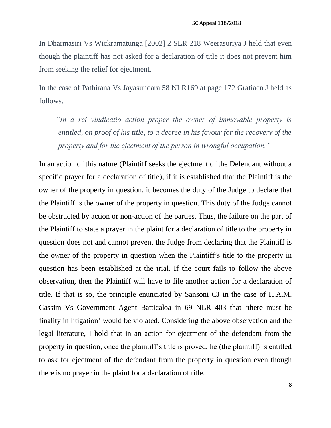In Dharmasiri Vs Wickramatunga [2002] 2 SLR 218 Weerasuriya J held that even though the plaintiff has not asked for a declaration of title it does not prevent him from seeking the relief for ejectment.

In the case of Pathirana Vs Jayasundara 58 NLR169 at page 172 Gratiaen J held as follows.

 *"In a rei vindicatio action proper the owner of immovable property is entitled, on proof of his title, to a decree in his favour for the recovery of the property and for the ejectment of the person in wrongful occupation."*

In an action of this nature (Plaintiff seeks the ejectment of the Defendant without a specific prayer for a declaration of title), if it is established that the Plaintiff is the owner of the property in question, it becomes the duty of the Judge to declare that the Plaintiff is the owner of the property in question. This duty of the Judge cannot be obstructed by action or non-action of the parties. Thus, the failure on the part of the Plaintiff to state a prayer in the plaint for a declaration of title to the property in question does not and cannot prevent the Judge from declaring that the Plaintiff is the owner of the property in question when the Plaintiff"s title to the property in question has been established at the trial. If the court fails to follow the above observation, then the Plaintiff will have to file another action for a declaration of title. If that is so, the principle enunciated by Sansoni CJ in the case of H.A.M. Cassim Vs Government Agent Batticaloa in 69 NLR 403 that "there must be finality in litigation" would be violated. Considering the above observation and the legal literature, I hold that in an action for ejectment of the defendant from the property in question, once the plaintiff"s title is proved, he (the plaintiff) is entitled to ask for ejectment of the defendant from the property in question even though there is no prayer in the plaint for a declaration of title.